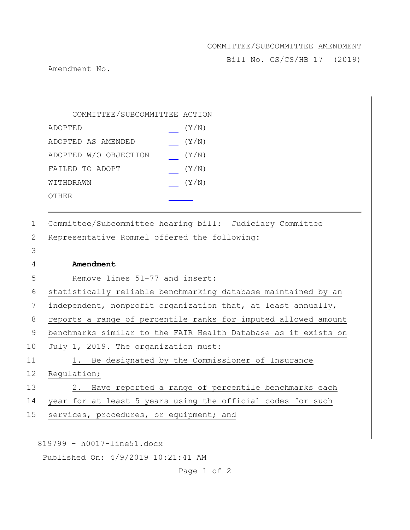## COMMITTEE/SUBCOMMITTEE AMENDMENT

Bill No. CS/CS/HB 17 (2019)

Amendment No.

|              | COMMITTEE/SUBCOMMITTEE ACTION                                  |
|--------------|----------------------------------------------------------------|
|              | (Y/N)<br>ADOPTED                                               |
|              | (Y/N)<br>ADOPTED AS AMENDED                                    |
|              | ADOPTED W/O OBJECTION<br>(Y/N)                                 |
|              | FAILED TO ADOPT<br>(Y/N)                                       |
|              | (Y/N)<br>WITHDRAWN                                             |
|              | OTHER                                                          |
|              |                                                                |
| $\mathbf 1$  | Committee/Subcommittee hearing bill: Judiciary Committee       |
| $\mathbf{2}$ | Representative Rommel offered the following:                   |
| 3            |                                                                |
| 4            | Amendment                                                      |
| 5            | Remove lines 51-77 and insert:                                 |
| 6            | statistically reliable benchmarking database maintained by an  |
| 7            | independent, nonprofit organization that, at least annually,   |
| 8            | reports a range of percentile ranks for imputed allowed amount |
| $\mathsf 9$  | benchmarks similar to the FAIR Health Database as it exists on |
| 10           | July 1, 2019. The organization must:                           |
| 11           | Be designated by the Commissioner of Insurance<br>1.           |
| 12           | Regulation;                                                    |
| 13           | Have reported a range of percentile benchmarks each<br>2.      |
| 14           | year for at least 5 years using the official codes for such    |
| 15           | services, procedures, or equipment; and                        |
|              |                                                                |
|              | 819799 - h0017-line51.docx                                     |
|              | Published On: 4/9/2019 10:21:41 AM                             |
|              |                                                                |

Page 1 of 2